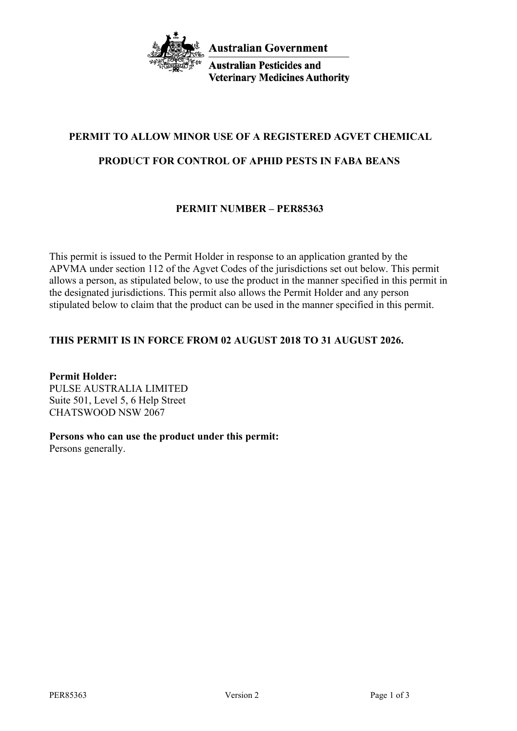

**Australian Pesticides and Veterinary Medicines Authority** 

# **PERMIT TO ALLOW MINOR USE OF A REGISTERED AGVET CHEMICAL**

## **PRODUCT FOR CONTROL OF APHID PESTS IN FABA BEANS**

## **PERMIT NUMBER – PER85363**

This permit is issued to the Permit Holder in response to an application granted by the APVMA under section 112 of the Agvet Codes of the jurisdictions set out below. This permit allows a person, as stipulated below, to use the product in the manner specified in this permit in the designated jurisdictions. This permit also allows the Permit Holder and any person stipulated below to claim that the product can be used in the manner specified in this permit.

## **THIS PERMIT IS IN FORCE FROM 02 AUGUST 2018 TO 31 AUGUST 2026.**

**Permit Holder:** PULSE AUSTRALIA LIMITED Suite 501, Level 5, 6 Help Street CHATSWOOD NSW 2067

#### **Persons who can use the product under this permit:**

Persons generally.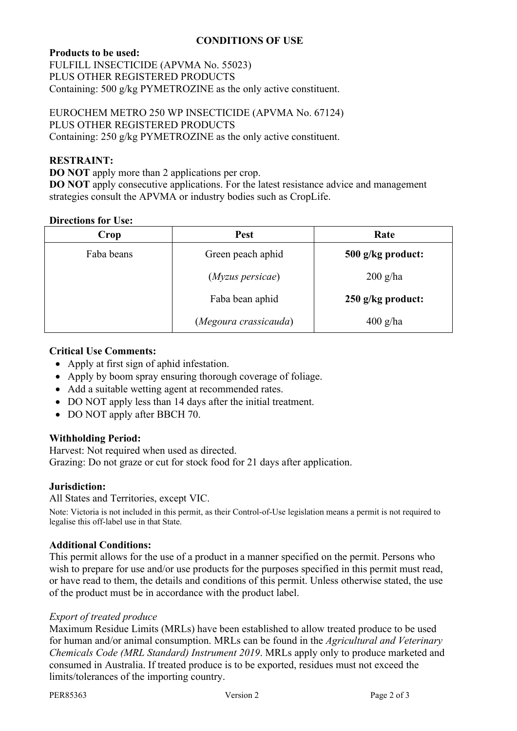### **CONDITIONS OF USE**

### **Products to be used:**

FULFILL INSECTICIDE (APVMA No. 55023) PLUS OTHER REGISTERED PRODUCTS Containing: 500 g/kg PYMETROZINE as the only active constituent.

EUROCHEM METRO 250 WP INSECTICIDE (APVMA No. 67124) PLUS OTHER REGISTERED PRODUCTS Containing: 250 g/kg PYMETROZINE as the only active constituent.

#### **RESTRAINT:**

**DO NOT** apply more than 2 applications per crop. **DO NOT** apply consecutive applications. For the latest resistance advice and management strategies consult the APVMA or industry bodies such as CropLife.

#### **Directions for Use:**

| Crop       | <b>Pest</b>           | Rate              |
|------------|-----------------------|-------------------|
| Faba beans | Green peach aphid     | 500 g/kg product: |
|            | (Myzus persicae)      | $200$ g/ha        |
|            | Faba bean aphid       | 250 g/kg product: |
|            | (Megoura crassicauda) | $400$ g/ha        |

#### **Critical Use Comments:**

- Apply at first sign of aphid infestation.
- Apply by boom spray ensuring thorough coverage of foliage.
- Add a suitable wetting agent at recommended rates.
- DO NOT apply less than 14 days after the initial treatment.
- DO NOT apply after BBCH 70.

#### **Withholding Period:**

Harvest: Not required when used as directed. Grazing: Do not graze or cut for stock food for 21 days after application.

#### **Jurisdiction:**

All States and Territories, except VIC.

Note: Victoria is not included in this permit, as their Control-of-Use legislation means a permit is not required to legalise this off-label use in that State.

#### **Additional Conditions:**

This permit allows for the use of a product in a manner specified on the permit. Persons who wish to prepare for use and/or use products for the purposes specified in this permit must read, or have read to them, the details and conditions of this permit. Unless otherwise stated, the use of the product must be in accordance with the product label.

#### *Export of treated produce*

Maximum Residue Limits (MRLs) have been established to allow treated produce to be used for human and/or animal consumption. MRLs can be found in the *Agricultural and Veterinary Chemicals Code (MRL Standard) Instrument 2019*. MRLs apply only to produce marketed and consumed in Australia. If treated produce is to be exported, residues must not exceed the limits/tolerances of the importing country.